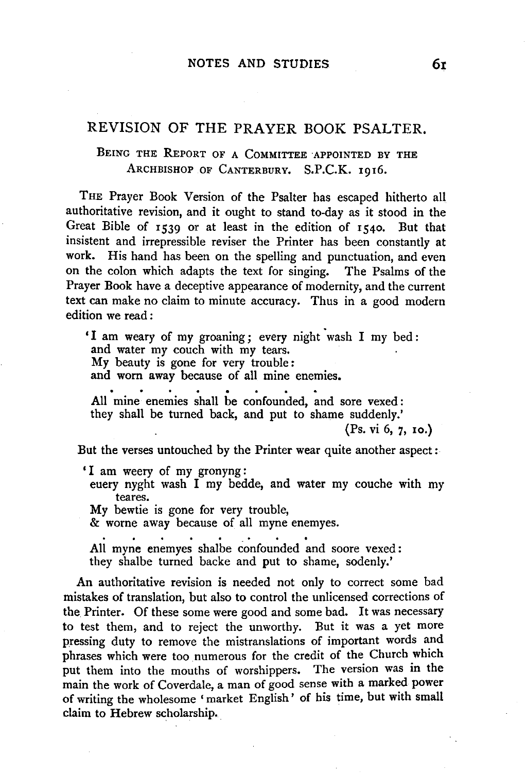## REVISION OF THE PRAYER BOOK PSALTER.

BEING THE REPORT OF A COMMITTEE APPOINTED BY THE ARCHBISHOP OF CANTERBURY. S.P.C.K. 1916.

THE Prayer Book Version of the Psalter has escaped hitherto all authoritative revision, and it ought to stand to-day as it stood in the Great Bible of 1539 or at least in the edition of 1540. But that insistent and irrepressible reviser the Printer has been constantly at work. His hand has been on the spelling and punctuation, and even on the colon which adapts the text for singing. The Psalms of the Prayer Book have a deceptive appearance of modernity, and the current text can make no claim to minute accuracy. Thus in a good modern edition we read :

'I am weary of my groaning; every night wash I my bed: and water my couch with my tears. My beauty is gone for very trouble: and worn away because of all mine enemies. All mine enemies shall be confounded, and sore vexed:

they shall be turned back, and put to shame suddenly.'

(Ps. vi 6, 7, 10.)

But the verses untouched by the Printer wear quite another aspect:

' I am weery of my gronyng:

euery nyght wash I my bedde, and water my couche with my teares.

My bewtie is gone for very trouble,

& worne away because of all myne enemyes.

All myne enemyes shalbe confounded and soore vexed: they shalbe turned backe and put to shame, sodenly.'

An authoritative revision is needed not only to correct some bad mistakes of translation, but also to control the unlicensed corrections of the Printer. Of these some were good and some bad. It was necessary to test them, and to reject the unworthy. But it was a yet more pressing duty to remove the mistranslations of important words and phrases which were too numerous for the credit of the Church which put them into the mouths of worshippers. The version was in the main the work of Coverdale, a man of good sense with a marked power of writing the wholesome ' market English' of his time, but with small claim to Hebrew scholarship.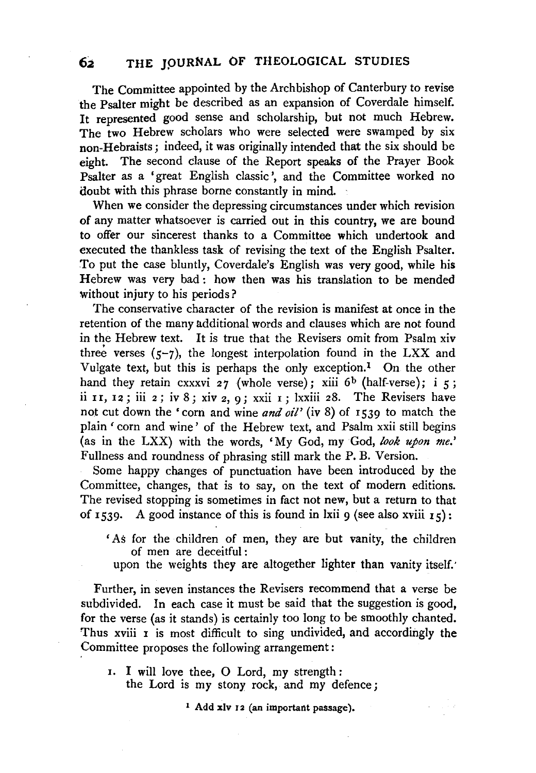The Committee appointed by the Archbishop of Canterbury to revise the Psalter might be described as an expansion of Coverdale himself. It represented good sense and scholarship, but not much Hebrew. The two Hebrew scholars who were selected were swamped by six non-Hebraists; indeed, it was originally intended that the six should be eight. The second clause of the Report speaks of the Prayer Book Psalter as a 'great English classic ', and the Committee worked no doubt with this phrase borne constantly in mind.

When we consider the depressing circumstances under which revision of any matter whatsoever is carried out in this country, we are bound to offer our sincerest thanks to a Committee which undertook and executed the thankless task of revising the text of the English Psalter. To put the case bluntly, Coverdale's English was very good, while his Hebrew was very bad : how then was his translation to be mended without injury to his periods?

The conservative character of the revision is manifest at once in the retention of the many additional words and clauses which are not found in the Hebrew text. It is true that the Revisers omit from Psalm xiv three verses  $(5-7)$ , the longest interpolation found in the LXX and Vulgate text, but this is perhaps the only exception.<sup>1</sup> On the other hand they retain cxxxvi 27 (whole verse); xiii 6<sup>b</sup> (half-verse); i 5; ii  $II$ ,  $II$ ; iii  $2$ ; iv 8; xiv  $2$ ,  $9$ ; xxii  $I$ ; lxxiii  $28$ . The Revisers have not cut down the 'corn and wine *and oil'* (iv 8) of 1539 to match the plain ' corn and wine ' of the Hebrew text, and Psalm xxii still begins (as in the LXX) with the words, 'My God, my God, *look upon me.'*  Fullness and roundness of phrasing still mark the P. B. Version.

Some happy changes of punctuation have been introduced by the Committee, changes, that is to say, on the text of modern editions. The revised stopping is sometimes in fact not new, but a return to that of 1539. A good instance of this is found in lxii 9 (see also xviii  $15$ ):

- 'As for the children of men, they are but vanity, the children of men are deceitful :
	- upon the weights they are altogether lighter than vanity itself:

Further, in seven instances the Revisers recommend that a verse be subdivided. In each case it must be said that the suggestion is good, for the verse (as it stands) is certainly too long to be smoothly chanted. Thus xviii I is most difficult to sing undivided, and accordingly the Committee proposes the following arrangement :

1. I will love thee, 0 Lord, my strength : the Lord is my stony rock, and my defence;

1 Add xlv 12 (an important passage).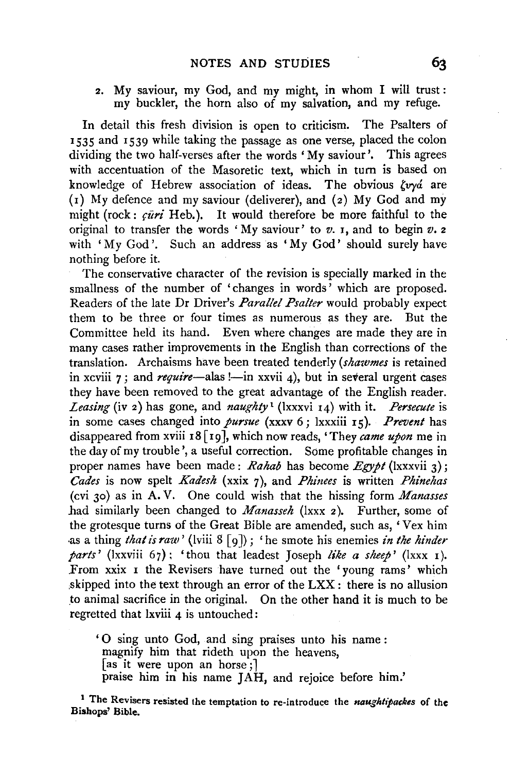2. My saviour, my God, and my might, in whom I will trust: my buckler, the horn also of my salvation, and my refuge.

In detail this fresh division is open to criticism. The Psalters of 1535 and 1539 while taking the passage as one verse, placed the colon dividing the two half-verses after the words 'My saviour'. This agrees with accentuation of the Masoretic text, which in turn is based on knowledge of Hebrew association of ideas. The obvious  $\zeta v \gamma \alpha$  are (r) My defence and my saviour (deliverer), and (2) My God and my might (rock:  $\vec{curl}$  Heb.). It would therefore be more faithful to the original to transfer the words 'My saviour' to *v.* I, and to begin *v.* <sup>2</sup> with 'My God'. Such an address as 'My God' should surely have nothing before it.

The conservative character of the revision is specially marked in the smallness of the number of 'changes in words' which are proposed. Readers of the late Dr Driver's *Parallel Psalter* would probably expect them to be three or four times as numerous as they are. But the Committee held its hand. Even where changes are made they are in many cases rather improvements in the English than corrections of the translation. Archaisms have been treated tenderly *(shawmes* is retained in xcviii 7; and *require*—alas *!*—in xxvii 4), but in several urgent cases they have been removed to the great advantage of the English reader. *Leasing* (iv 2) has gone, and *naughty* <sup>1</sup>(lxxxvi 14) with it. *Persecute* is in some cases changed into *pursue* (xxxv 6; lxxxiii 15). *Prevent* has disappeared from xviii 18 [19], which now reads, 'They *came upon* me in the day of my trouble', a useful correction. Some profitable changes in proper names have been made: *Rahab* has become *Egypt* (lxxxvii 3); *Cades* is now spelt *Kadesh* (xxix 7), and *Phinees* is written *Phinehas*  (cvi 30) as in A. V. One could wish that the hissing form *Manasses*  had similarly been changed to *Manasseh* (lxxx 2 ). Further, some of the grotesque turns of the Great Bible are amended, such as, 'Vex him as a thing *that is raw'* (lviii 8 [ 9 ]) ; 'he smote his enemies *in the hinder parts'* (lxxviii 67}: 'thou that leadest Joseph *like a sheep'* (Ixxx I). From xxix I the Revisers have turned out the 'young rams' which ,skipped into the text through an error of the LXX : there is no allusion to animal sacrifice in the original. On the other hand it is much to be regretted that lxviii 4 is untouched:

' 0 sing unto God, and sing praises unto his name : magnify him that rideth upon the heavens, [as it were upon an horse;] praise him in his name JAH, and rejoice before him.'

1 The Revisers resisted the temptation to re-introduce the *naughtipackes* of the Bishops' Bible.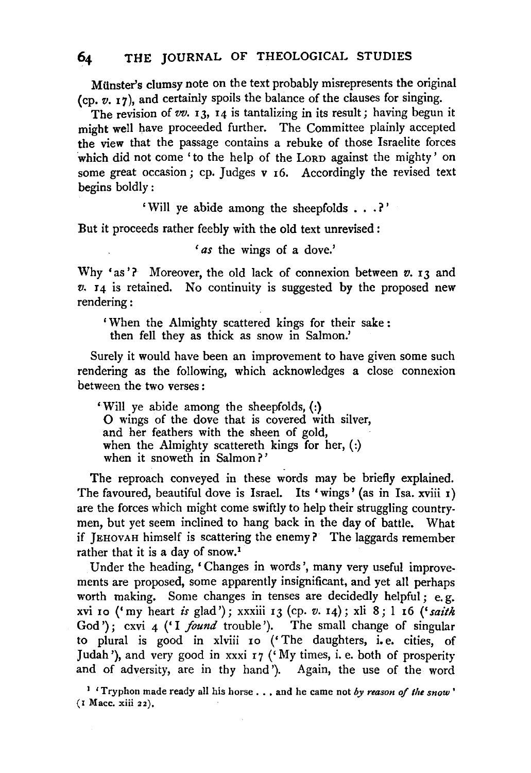MUnster's clumsy note on the text probably misrepresents the original (cp. *v.* I 7 ), and certainly spoils the balance of the clauses for singing.

The revision of  $vv$ . **I3**, **I4** is tantalizing in its result; having begun it might well have proceeded further. The Committee plainly accepted the view that the passage contains a rebuke of those Israelite forces which did not come 'to the help of the LORD against the mighty' on some great occasion; cp. Judges  $v_1$  6. Accordingly the revised text begins boldly:

' Will ye abide among the sheepfolds • . . ? '

But it proceeds rather feebly with the old text unrevised :

' *as* the wings of a dove.'

Why 'as'? Moreover, the old lack of connexion between  $v$ . 13 and  $v.$   $I_4$  is retained. No continuity is suggested by the proposed new rendering:

'When the Almighty scattered kings for their sake : then fell they as thick as snow in Salmon.'

Surely it would have been an improvement to have given some such rendering as the following, which acknowledges a close connexion between the two verses :

'Will ye abide among the sheepfolds, (:) 0 wings of the dove that is covered with silver, and her feathers with the sheen of gold, when the Almighty scattereth kings for her,  $($ .) when it snoweth in Salmon?'

The reproach conveyed in these words may be briefly explained. The favoured, beautiful dove is Israel. Its 'wings' (as in Isa. xviii 1) are the forces which might come swiftly to help their struggling countrymen, but yet seem inclined to hang back in the day of battle. What if JEHOVAH himself is scattering the enemy? The laggards remember rather that it is a day of snow.1

Under the heading, 'Changes in words', many very useful improvements are proposed, some apparently insignificant, and yet all perhaps worth making. Some changes in tenses are decidedly helpful; e. g. xvi Io ('my heart *is* glad'); xxxiii 13 (cp. *v.* 14); xli 8; I I6 (' *saith*  God'); cxvi 4 ('I *found* trouble'). The small change of singular to plural is good in xlviii IO ('The daughters, i.e. cities, of Judah '), and very good in xxxi  $_7$  ('My times, i. e. both of prosperity and of adversity, are in thy hand'). Again, the use of the word

1 'Tryphon made ready all his horse •.• and he came not *by reason of the snow* ' (I Mace. xiii 22).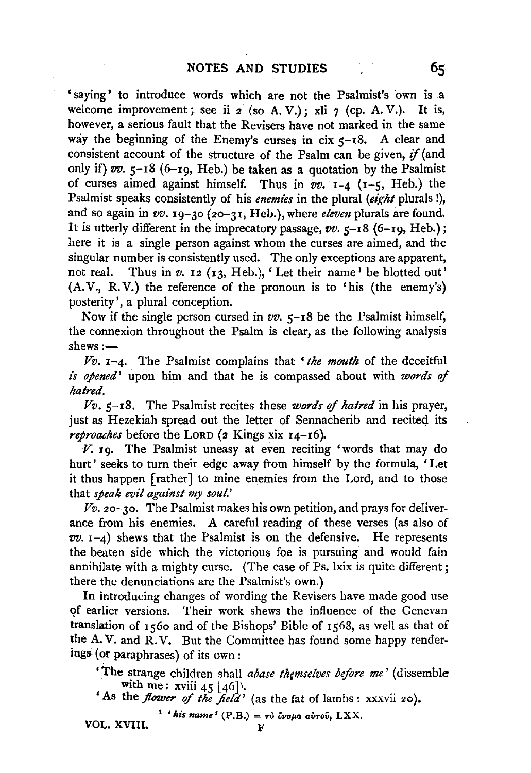'saying' to introduce words which are not the Psalmist's own is a welcome. improvement; see ii  $2$  (so A. V.); xli  $7$  (cp. A. V.). It is, however, a serious fault that the Revisers have not marked in the same way the beginning of the Enemy's curses in cix  $5-18$ . A clear and consistent account of the structure of the Psalm can be given,  $if$  (and only if) *vv.* 5-18 (6-rg, Heb.) be taken as a quotation by the Psalmist of curses aimed against himself. Thus in  $vv$ .  $1-4$  ( $1-5$ , Heb.) the Psalmist speaks consistently of his *enemies* in the plural *(eight* plurals !}, and so again in *vv.* 19-30 (2o-31, Heb.), where *eleven* plurals are found. It is utterly different in the imprecatory passage,  $vv.$   $5-18$  (6-19, Heb.); here it is a single person against whom the curses are aimed, and the singular number is consistently used. The only exceptions are apparent, not real. Thus in  $v$ . 12 (13, Heb.), 'Let their name<sup>1</sup> be blotted out'. (A. V., R. V.) the reference of the pronoun is to 'his (the enemy's) posterity', a plural conception.

Now if the single person cursed in  $vv$ . 5-18 be the Psalmist himself, the connexion throughout the Psalm is clear, as the following analysis  $shews :=$ 

*Vv.* 1-4. The Psalmist complains that *'the mouth* of the deceitful *<sup>i</sup>'s opened'* upon him and that he is compassed about with *words* of *hatred.* 

*Vv.* 5-18. The Psalmist recites these *words* of *hatred* in his prayer, just as Hezekiah spread out the letter of Sennacherib and recited its *reproaches* before the LORD (2 Kings xix 14-16).

*V.* rg. The Psalmist uneasy at even reciting 'words that may do hurt' seeks to turn their edge away from himself by the formula, 'Let it thus happen [rather] to mine enemies from the Lord, and to those that *speak evil against my soul.'* 

*Vv.* 20-30. The Psalmist makes his own petition, and prays for deliverance from his enemies. A careful reading of these verses (as also of  $vv.$   $r-4$ ) shews that the Psalmist is on the defensive. He represents the beaten side which the victorious foe is pursuing and would fain annihilate with a mighty curse. (The case of Ps. lxix is quite different; there the denunciations are the Psalmist's own.)

In introducing changes of wording the Revisers have made good use of earlier versions. Their work shews the influence of the Genevan translation of rs6o and of the Bishops' Bible of 1568, as well as that of the A.V. and R.V. But the Committee has found some happy renderings (or paraphrases) of its own:

'The strange children shall *abase themselves before me'* (dissemble with me: xviii  $45 \left[ 46 \right]$ .

'As the *flower of the field'* (as the fat of lambs: xxxvii 20).

 $1$ <sup>'</sup> his name<sup>'</sup> (P.B.) =  $\tau$ *o*  $\delta$ *voµa avrov*, LXX.

VOL. XVIIL

65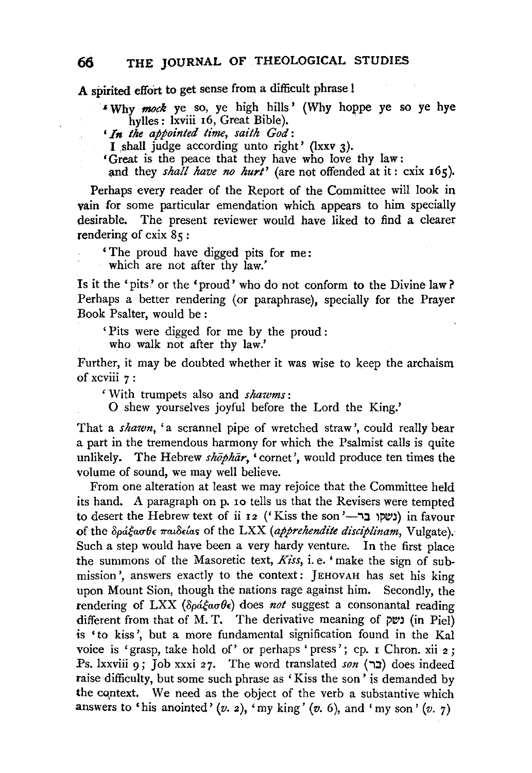A spirited effort to get sense from a difficult phrase l

<sup>~</sup>Why *mock* ye so, ye high hills ' (Why hoppe ye so ye hye hylles: lxviii 16, Great Bible).

• *In the appointed time, saith God:* 

I shall judge according unto right' (lxxv 3).

• Great is the peace that they have who love thy law: and they *shall have no hurt'* (are not offended at it: cxix 165).

Perhaps every reader of the Report of the Committee will look in vain for some particular emendation which appears to him specially desirable. The present reviewer would have liked to find a clearer rendering of  $\csc 85$ :

'The proud have digged pits for me:

which are not after thy law.'

Is it the 'pits' or the 'proud' who do not conform to the Divine law? Perhaps a better rendering (or paraphrase), specially for the Prayer Book Psalter, would be :

' Pits were digged for me by the proud :

who walk not after thy law.'

Further, it may be doubted whether it was wise to keep the archaism of xcviii 7:

'With trumpets also and *shawms:* 

0 shew yourselves joyful before the Lord the King.'

That a *shawn,* 'a scrannel pipe of wretched straw', could really bear a part in the tremendous harmony for which the Psalmist calls is quite unlikely. The Hebrew *shophar*, 'cornet', would produce ten times the volume of sound, we may well believe.

From one alteration at least we may rejoice that the Committee held its hand. A paragraph on p. 10 tells us that the Revisers were tempted to desert the Hebrew text of ii 12 ('Kiss the son'-יה in favour) in favour of the δράξασθε παιδείαs of the LXX (apprehendite disciplinam, Vulgate). Such a step would have been a very hardy venture. In the first place the summons of the Masoretic text, *Kiss*, i.e. 'make the sign of submission', answers exactly to the context: JEHOVAH has set his king upon Mount Sion, though the nations rage against him. Secondly, the rendering of LXX ( $\delta \rho \acute{a} \xi a \sigma \theta \epsilon$ ) does *not* suggest a consonantal reading different from that of M. T. The derivative meaning of  $p$ נשף (in Piel) is 'to kiss', but a more fundamental signification found in the Kal voice is 'grasp, take hold of' or perhaps 'press'; cp. 1 Chron. xii 2; Ps. lxxviii 9; Job xxxi 27. The word translated *son* (בר) does indeed raise difficulty, but some such phrase as 'Kiss the son' is demanded by the context. We need as the object of the verb a substantive which answers to 'his anointed'  $(v, z)$ , 'my king'  $(v, 6)$ , and 'my son'  $(v, 7)$